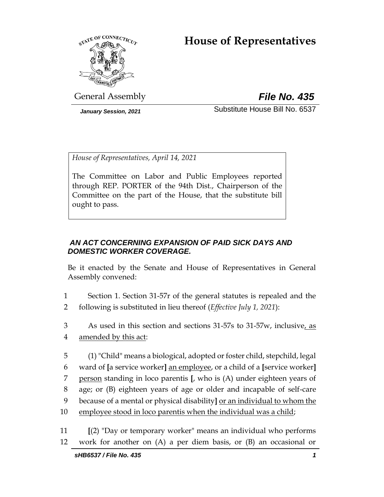# **House of Representatives**



General Assembly *File No. 435*

*January Session, 2021* Substitute House Bill No. 6537

*House of Representatives, April 14, 2021*

The Committee on Labor and Public Employees reported through REP. PORTER of the 94th Dist., Chairperson of the Committee on the part of the House, that the substitute bill ought to pass.

## *AN ACT CONCERNING EXPANSION OF PAID SICK DAYS AND DOMESTIC WORKER COVERAGE.*

Be it enacted by the Senate and House of Representatives in General Assembly convened:

- 1 Section 1. Section 31-57r of the general statutes is repealed and the 2 following is substituted in lieu thereof (*Effective July 1, 2021*):
- 3 As used in this section and sections 31-57s to 31-57w, inclusive, as 4 amended by this act:
- 5 (1) "Child" means a biological, adopted or foster child, stepchild, legal 6 ward of **[**a service worker**]** an employee, or a child of a **[**service worker**]** 7 person standing in loco parentis **[**, who is (A) under eighteen years of 8 age; or (B) eighteen years of age or older and incapable of self-care 9 because of a mental or physical disability**]** or an individual to whom the 10 employee stood in loco parentis when the individual was a child;

11 **[**(2) "Day or temporary worker" means an individual who performs 12 work for another on (A) a per diem basis, or (B) an occasional or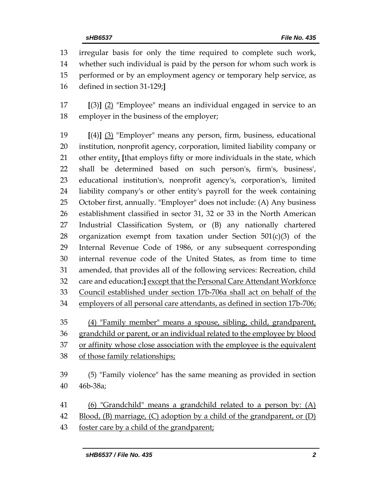irregular basis for only the time required to complete such work, whether such individual is paid by the person for whom such work is performed or by an employment agency or temporary help service, as defined in section 31-129;**]**

 **[**(3)**]** (2) "Employee" means an individual engaged in service to an employer in the business of the employer;

 **[**(4)**]** (3) "Employer" means any person, firm, business, educational institution, nonprofit agency, corporation, limited liability company or other entity, **[**that employs fifty or more individuals in the state, which shall be determined based on such person's, firm's, business', educational institution's, nonprofit agency's, corporation's, limited liability company's or other entity's payroll for the week containing October first, annually. "Employer" does not include: (A) Any business establishment classified in sector 31, 32 or 33 in the North American Industrial Classification System, or (B) any nationally chartered 28 organization exempt from taxation under Section  $501(c)(3)$  of the Internal Revenue Code of 1986, or any subsequent corresponding internal revenue code of the United States, as from time to time amended, that provides all of the following services: Recreation, child care and education;**]** except that the Personal Care Attendant Workforce Council established under section 17b-706a shall act on behalf of the employers of all personal care attendants, as defined in section 17b-706;

 (4) "Family member" means a spouse, sibling, child, grandparent, grandchild or parent, or an individual related to the employee by blood or affinity whose close association with the employee is the equivalent of those family relationships;

 (5) "Family violence" has the same meaning as provided in section 46b-38a;

 (6) "Grandchild" means a grandchild related to a person by: (A) Blood, (B) marriage, (C) adoption by a child of the grandparent, or (D) foster care by a child of the grandparent;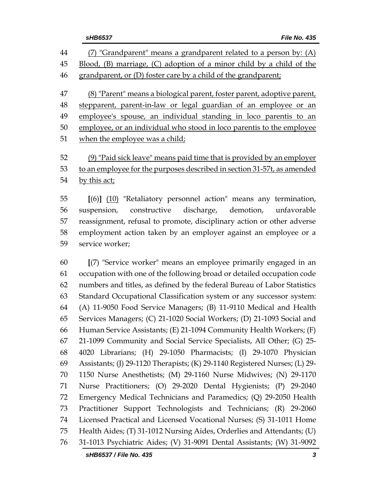(7) "Grandparent" means a grandparent related to a person by: (A) Blood, (B) marriage, (C) adoption of a minor child by a child of the 46 grandparent, or (D) foster care by a child of the grandparent; (8) "Parent" means a biological parent, foster parent, adoptive parent, stepparent, parent-in-law or legal guardian of an employee or an employee's spouse, an individual standing in loco parentis to an employee, or an individual who stood in loco parentis to the employee when the employee was a child; (9) "Paid sick leave" means paid time that is provided by an employer to an employee for the purposes described in section 31-57t, as amended by this act; **[**(6)**]** (10) "Retaliatory personnel action" means any termination, suspension, constructive discharge, demotion, unfavorable

 reassignment, refusal to promote, disciplinary action or other adverse employment action taken by an employer against an employee or a service worker;

 **[**(7) "Service worker" means an employee primarily engaged in an occupation with one of the following broad or detailed occupation code numbers and titles, as defined by the federal Bureau of Labor Statistics Standard Occupational Classification system or any successor system: (A) 11-9050 Food Service Managers; (B) 11-9110 Medical and Health Services Managers; (C) 21-1020 Social Workers; (D) 21-1093 Social and Human Service Assistants; (E) 21-1094 Community Health Workers; (F) 21-1099 Community and Social Service Specialists, All Other; (G) 25- 4020 Librarians; (H) 29-1050 Pharmacists; (I) 29-1070 Physician Assistants; (J) 29-1120 Therapists; (K) 29-1140 Registered Nurses; (L) 29- 1150 Nurse Anesthetists; (M) 29-1160 Nurse Midwives; (N) 29-1170 Nurse Practitioners; (O) 29-2020 Dental Hygienists; (P) 29-2040 Emergency Medical Technicians and Paramedics; (Q) 29-2050 Health Practitioner Support Technologists and Technicians; (R) 29-2060 Licensed Practical and Licensed Vocational Nurses; (S) 31-1011 Home Health Aides; (T) 31-1012 Nursing Aides, Orderlies and Attendants; (U) 31-1013 Psychiatric Aides; (V) 31-9091 Dental Assistants; (W) 31-9092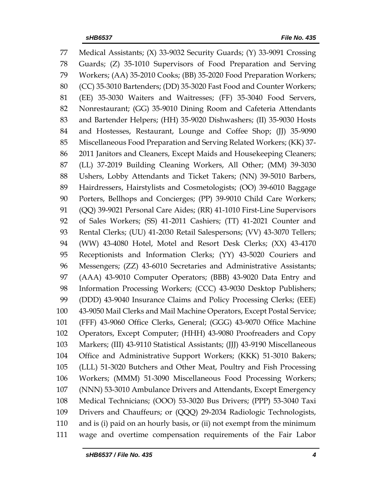Medical Assistants; (X) 33-9032 Security Guards; (Y) 33-9091 Crossing Guards; (Z) 35-1010 Supervisors of Food Preparation and Serving Workers; (AA) 35-2010 Cooks; (BB) 35-2020 Food Preparation Workers; (CC) 35-3010 Bartenders; (DD) 35-3020 Fast Food and Counter Workers; (EE) 35-3030 Waiters and Waitresses; (FF) 35-3040 Food Servers, Nonrestaurant; (GG) 35-9010 Dining Room and Cafeteria Attendants and Bartender Helpers; (HH) 35-9020 Dishwashers; (II) 35-9030 Hosts 84 and Hostesses, Restaurant, Lounge and Coffee Shop; (II) 35-9090 Miscellaneous Food Preparation and Serving Related Workers; (KK) 37- 2011 Janitors and Cleaners, Except Maids and Housekeeping Cleaners; (LL) 37-2019 Building Cleaning Workers, All Other; (MM) 39-3030 Ushers, Lobby Attendants and Ticket Takers; (NN) 39-5010 Barbers, Hairdressers, Hairstylists and Cosmetologists; (OO) 39-6010 Baggage Porters, Bellhops and Concierges; (PP) 39-9010 Child Care Workers; (QQ) 39-9021 Personal Care Aides; (RR) 41-1010 First-Line Supervisors of Sales Workers; (SS) 41-2011 Cashiers; (TT) 41-2021 Counter and Rental Clerks; (UU) 41-2030 Retail Salespersons; (VV) 43-3070 Tellers; (WW) 43-4080 Hotel, Motel and Resort Desk Clerks; (XX) 43-4170 Receptionists and Information Clerks; (YY) 43-5020 Couriers and Messengers; (ZZ) 43-6010 Secretaries and Administrative Assistants; (AAA) 43-9010 Computer Operators; (BBB) 43-9020 Data Entry and Information Processing Workers; (CCC) 43-9030 Desktop Publishers; (DDD) 43-9040 Insurance Claims and Policy Processing Clerks; (EEE) 43-9050 Mail Clerks and Mail Machine Operators, Except Postal Service; (FFF) 43-9060 Office Clerks, General; (GGG) 43-9070 Office Machine Operators, Except Computer; (HHH) 43-9080 Proofreaders and Copy Markers; (III) 43-9110 Statistical Assistants; (JJJ) 43-9190 Miscellaneous Office and Administrative Support Workers; (KKK) 51-3010 Bakers; (LLL) 51-3020 Butchers and Other Meat, Poultry and Fish Processing Workers; (MMM) 51-3090 Miscellaneous Food Processing Workers; (NNN) 53-3010 Ambulance Drivers and Attendants, Except Emergency Medical Technicians; (OOO) 53-3020 Bus Drivers; (PPP) 53-3040 Taxi Drivers and Chauffeurs; or (QQQ) 29-2034 Radiologic Technologists, and is (i) paid on an hourly basis, or (ii) not exempt from the minimum wage and overtime compensation requirements of the Fair Labor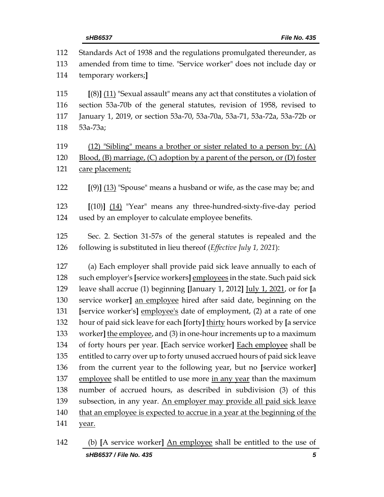| 112 | Standards Act of 1938 and the regulations promulgated thereunder, as        |
|-----|-----------------------------------------------------------------------------|
| 113 | amended from time to time. "Service worker" does not include day or         |
| 114 | temporary workers;                                                          |
| 115 | $[(8)]$ (11) "Sexual assault" means any act that constitutes a violation of |
| 116 | section 53a-70b of the general statutes, revision of 1958, revised to       |
| 117 | January 1, 2019, or section 53a-70, 53a-70a, 53a-71, 53a-72a, 53a-72b or    |
| 118 | 53a-73a;                                                                    |
| 119 | (12) "Sibling" means a brother or sister related to a person by: (A)        |
| 120 | Blood, (B) marriage, (C) adoption by a parent of the person, or (D) foster  |
| 121 | care placement;                                                             |
| 122 | $[9]$ $(13)$ "Spouse" means a husband or wife, as the case may be; and      |
| 123 | $[(10)]$ $(14)$ "Year" means any three-hundred-sixty-five-day period        |
| 124 | used by an employer to calculate employee benefits.                         |
| 125 | Sec. 2. Section 31-57s of the general statutes is repealed and the          |
| 126 | following is substituted in lieu thereof (Effective July 1, 2021):          |
| 127 | (a) Each employer shall provide paid sick leave annually to each of         |
| 128 | such employer's [service workers] employees in the state. Such paid sick    |
| 129 | leave shall accrue (1) beginning [January 1, 2012] July 1, 2021, or for [a  |
| 130 | service worker] an employee hired after said date, beginning on the         |
| 131 | [service worker's] employee's date of employment, (2) at a rate of one      |
| 132 | hour of paid sick leave for each [forty] thirty hours worked by [a service  |
| 133 | worker] the employee, and (3) in one-hour increments up to a maximum        |
| 134 | of forty hours per year. [Each service worker] Each employee shall be       |
| 135 | entitled to carry over up to forty unused accrued hours of paid sick leave  |
| 136 | from the current year to the following year, but no [service worker]        |
| 137 | employee shall be entitled to use more in any year than the maximum         |
| 138 | number of accrued hours, as described in subdivision (3) of this            |
| 139 | subsection, in any year. An employer may provide all paid sick leave        |
| 140 | that an employee is expected to accrue in a year at the beginning of the    |
| 141 | year.                                                                       |

*sHB6537 / File No. 435 5* (b) **[**A service worker**]** An employee shall be entitled to the use of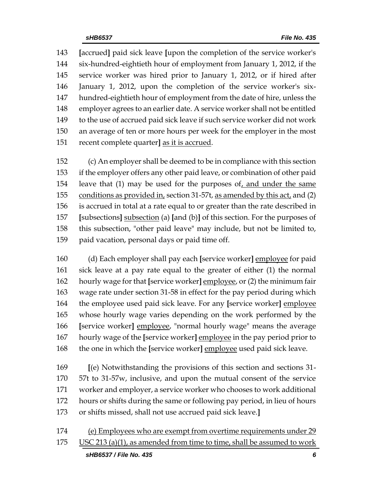**[**accrued**]** paid sick leave **[**upon the completion of the service worker's six-hundred-eightieth hour of employment from January 1, 2012, if the service worker was hired prior to January 1, 2012, or if hired after January 1, 2012, upon the completion of the service worker's six- hundred-eightieth hour of employment from the date of hire, unless the employer agrees to an earlier date. A service worker shall not be entitled to the use of accrued paid sick leave if such service worker did not work an average of ten or more hours per week for the employer in the most recent complete quarter**]** as it is accrued.

 (c) An employer shall be deemed to be in compliance with this section if the employer offers any other paid leave, or combination of other paid leave that (1) may be used for the purposes of, and under the same 155 conditions as provided in, section 31-57t, as amended by this act, and (2) is accrued in total at a rate equal to or greater than the rate described in **[**subsections**]** subsection (a) **[**and (b)**]** of this section. For the purposes of this subsection, "other paid leave" may include, but not be limited to, paid vacation, personal days or paid time off.

 (d) Each employer shall pay each **[**service worker**]** employee for paid sick leave at a pay rate equal to the greater of either (1) the normal hourly wage for that **[**service worker**]** employee, or (2) the minimum fair wage rate under section 31-58 in effect for the pay period during which the employee used paid sick leave. For any **[**service worker**]** employee whose hourly wage varies depending on the work performed by the **[**service worker**]** employee, "normal hourly wage" means the average hourly wage of the **[**service worker**]** employee in the pay period prior to the one in which the **[**service worker**]** employee used paid sick leave.

 **[**(e) Notwithstanding the provisions of this section and sections 31- 57t to 31-57w, inclusive, and upon the mutual consent of the service worker and employer, a service worker who chooses to work additional hours or shifts during the same or following pay period, in lieu of hours or shifts missed, shall not use accrued paid sick leave.**]**

*sHB6537 / File No. 435 6* 174 (e) Employees who are exempt from overtime requirements under 29 USC 213 (a)(1), as amended from time to time, shall be assumed to work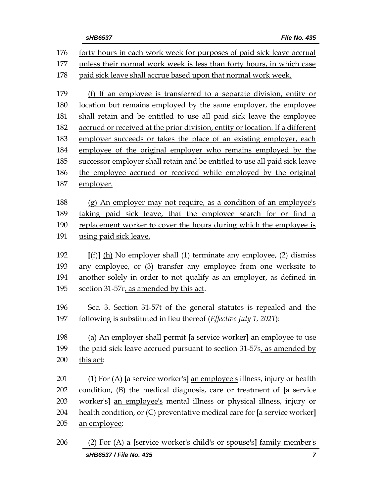| 176 | forty hours in each work week for purposes of paid sick leave accrual         |  |  |  |  |
|-----|-------------------------------------------------------------------------------|--|--|--|--|
| 177 | unless their normal work week is less than forty hours, in which case         |  |  |  |  |
| 178 | paid sick leave shall accrue based upon that normal work week.                |  |  |  |  |
|     |                                                                               |  |  |  |  |
| 179 | (f) If an employee is transferred to a separate division, entity or           |  |  |  |  |
| 180 | location but remains employed by the same employer, the employee              |  |  |  |  |
| 181 | shall retain and be entitled to use all paid sick leave the employee          |  |  |  |  |
| 182 | accrued or received at the prior division, entity or location. If a different |  |  |  |  |
| 183 | employer succeeds or takes the place of an existing employer, each            |  |  |  |  |
| 184 | employee of the original employer who remains employed by the                 |  |  |  |  |
| 185 | successor employer shall retain and be entitled to use all paid sick leave    |  |  |  |  |
| 186 | the employee accrued or received while employed by the original               |  |  |  |  |
| 187 | employer.                                                                     |  |  |  |  |
| 188 | (g) An employer may not require, as a condition of an employee's              |  |  |  |  |
| 189 | taking paid sick leave, that the employee search for or find a                |  |  |  |  |
| 190 | replacement worker to cover the hours during which the employee is            |  |  |  |  |
| 191 | using paid sick leave.                                                        |  |  |  |  |
|     |                                                                               |  |  |  |  |
| 192 | $[(f)]$ (h) No employer shall (1) terminate any employee, (2) dismiss         |  |  |  |  |
| 193 | any employee, or (3) transfer any employee from one worksite to               |  |  |  |  |
| 194 | another solely in order to not qualify as an employer, as defined in          |  |  |  |  |
| 195 | section 31-57r, as amended by this act.                                       |  |  |  |  |
|     |                                                                               |  |  |  |  |
| 196 | Sec. 3. Section 31-57t of the general statutes is repealed and the            |  |  |  |  |
| 197 | following is substituted in lieu thereof (Effective July 1, 2021):            |  |  |  |  |
| 198 | (a) An employer shall permit [a service worker] an employee to use            |  |  |  |  |
| 199 | the paid sick leave accrued pursuant to section 31-57s, as amended by         |  |  |  |  |
| 200 | this act:                                                                     |  |  |  |  |
|     |                                                                               |  |  |  |  |
| 201 | (1) For (A) [a service worker's] an employee's illness, injury or health      |  |  |  |  |
| 202 | condition, $(B)$ the medical diagnosis, care or treatment of $[a]$ service    |  |  |  |  |
| 203 | worker's] an employee's mental illness or physical illness, injury or         |  |  |  |  |
| 204 | health condition, or (C) preventative medical care for [a service worker]     |  |  |  |  |
| 205 | an employee;                                                                  |  |  |  |  |
|     |                                                                               |  |  |  |  |

*sHB6537 / File No. 435 7* (2) For (A) a **[**service worker's child's or spouse's**]** family member's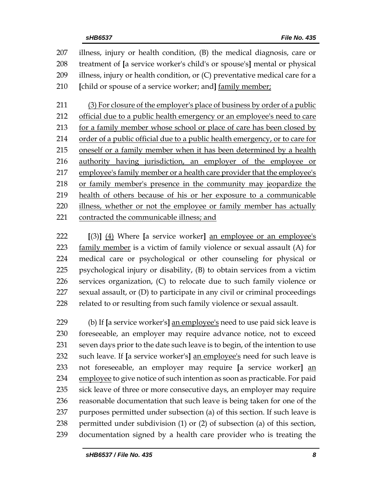illness, injury or health condition, (B) the medical diagnosis, care or treatment of **[**a service worker's child's or spouse's**]** mental or physical illness, injury or health condition, or (C) preventative medical care for a **[**child or spouse of a service worker; and**]** family member; (3) For closure of the employer's place of business by order of a public

212 official due to a public health emergency or an employee's need to care for a family member whose school or place of care has been closed by order of a public official due to a public health emergency, or to care for oneself or a family member when it has been determined by a health authority having jurisdiction, an employer of the employee or employee's family member or a health care provider that the employee's or family member's presence in the community may jeopardize the health of others because of his or her exposure to a communicable illness, whether or not the employee or family member has actually contracted the communicable illness; and

 **[**(3)**]** (4) Where **[**a service worker**]** an employee or an employee's family member is a victim of family violence or sexual assault (A) for medical care or psychological or other counseling for physical or psychological injury or disability, (B) to obtain services from a victim services organization, (C) to relocate due to such family violence or sexual assault, or (D) to participate in any civil or criminal proceedings 228 related to or resulting from such family violence or sexual assault.

 (b) If **[**a service worker's**]** an employee's need to use paid sick leave is foreseeable, an employer may require advance notice, not to exceed seven days prior to the date such leave is to begin, of the intention to use such leave. If **[**a service worker's**]** an employee's need for such leave is not foreseeable, an employer may require **[**a service worker**]** an 234 employee to give notice of such intention as soon as practicable. For paid sick leave of three or more consecutive days, an employer may require reasonable documentation that such leave is being taken for one of the purposes permitted under subsection (a) of this section. If such leave is permitted under subdivision (1) or (2) of subsection (a) of this section, documentation signed by a health care provider who is treating the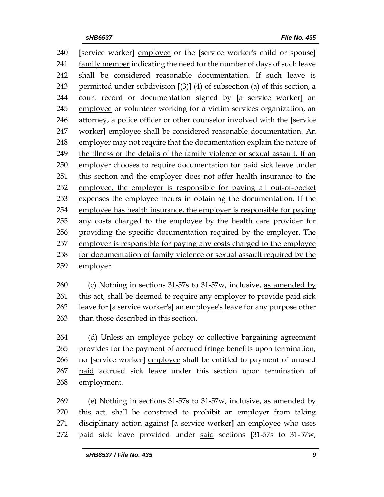**[**service worker**]** employee or the **[**service worker's child or spouse**]** family member indicating the need for the number of days of such leave shall be considered reasonable documentation. If such leave is permitted under subdivision **[**(3)**]** (4) of subsection (a) of this section, a court record or documentation signed by **[**a service worker**]** an employee or volunteer working for a victim services organization, an attorney, a police officer or other counselor involved with the **[**service worker**]** employee shall be considered reasonable documentation. An employer may not require that the documentation explain the nature of the illness or the details of the family violence or sexual assault. If an employer chooses to require documentation for paid sick leave under this section and the employer does not offer health insurance to the employee, the employer is responsible for paying all out-of-pocket expenses the employee incurs in obtaining the documentation. If the employee has health insurance, the employer is responsible for paying any costs charged to the employee by the health care provider for providing the specific documentation required by the employer. The employer is responsible for paying any costs charged to the employee for documentation of family violence or sexual assault required by the employer.

 (c) Nothing in sections 31-57s to 31-57w, inclusive, as amended by this act, shall be deemed to require any employer to provide paid sick leave for **[**a service worker's**]** an employee's leave for any purpose other than those described in this section.

 (d) Unless an employee policy or collective bargaining agreement provides for the payment of accrued fringe benefits upon termination, no **[**service worker**]** employee shall be entitled to payment of unused 267 paid accrued sick leave under this section upon termination of employment.

 (e) Nothing in sections 31-57s to 31-57w, inclusive, as amended by this act, shall be construed to prohibit an employer from taking disciplinary action against **[**a service worker**]** an employee who uses paid sick leave provided under said sections **[**31-57s to 31-57w,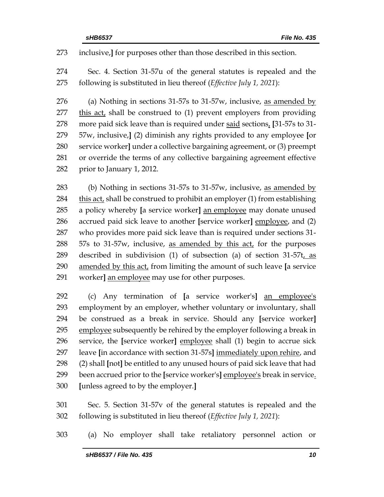inclusive,**]** for purposes other than those described in this section.

 Sec. 4. Section 31-57u of the general statutes is repealed and the following is substituted in lieu thereof (*Effective July 1, 2021*):

 (a) Nothing in sections 31-57s to 31-57w, inclusive, as amended by 277 this act, shall be construed to (1) prevent employers from providing more paid sick leave than is required under said sections, **[**31-57s to 31- 57w, inclusive,**]** (2) diminish any rights provided to any employee **[**or service worker**]** under a collective bargaining agreement, or (3) preempt or override the terms of any collective bargaining agreement effective prior to January 1, 2012.

 (b) Nothing in sections 31-57s to 31-57w, inclusive, as amended by this act, shall be construed to prohibit an employer (1) from establishing a policy whereby **[**a service worker**]** an employee may donate unused accrued paid sick leave to another **[**service worker**]** employee, and (2) who provides more paid sick leave than is required under sections 31- 57s to 31-57w, inclusive, as amended by this act, for the purposes described in subdivision (1) of subsection (a) of section 31-57t, as amended by this act, from limiting the amount of such leave **[**a service worker**]** an employee may use for other purposes.

 (c) Any termination of **[**a service worker's**]** an employee's employment by an employer, whether voluntary or involuntary, shall be construed as a break in service. Should any **[**service worker**]** employee subsequently be rehired by the employer following a break in service, the **[**service worker**]** employee shall (1) begin to accrue sick leave **[**in accordance with section 31-57s**]** immediately upon rehire, and (2) shall **[**not**]** be entitled to any unused hours of paid sick leave that had been accrued prior to the **[**service worker's**]** employee's break in service. **[**unless agreed to by the employer.**]**

 Sec. 5. Section 31-57v of the general statutes is repealed and the following is substituted in lieu thereof (*Effective July 1, 2021*):

(a) No employer shall take retaliatory personnel action or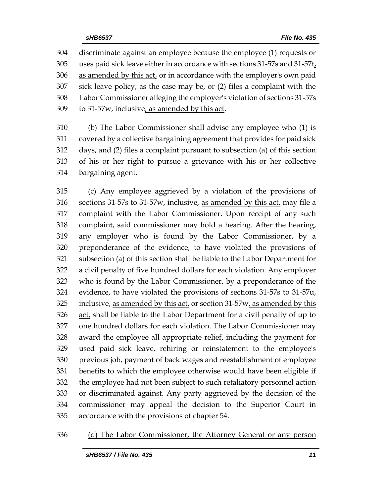discriminate against an employee because the employee (1) requests or uses paid sick leave either in accordance with sections 31-57s and 31-57t, as amended by this act, or in accordance with the employer's own paid sick leave policy, as the case may be, or (2) files a complaint with the Labor Commissioner alleging the employer's violation of sections 31-57s 309 to 31-57*w*, inclusive, as amended by this act.

 (b) The Labor Commissioner shall advise any employee who (1) is covered by a collective bargaining agreement that provides for paid sick days, and (2) files a complaint pursuant to subsection (a) of this section of his or her right to pursue a grievance with his or her collective bargaining agent.

 (c) Any employee aggrieved by a violation of the provisions of 316 sections 31-57s to 31-57w, inclusive, as amended by this act, may file a complaint with the Labor Commissioner. Upon receipt of any such complaint, said commissioner may hold a hearing. After the hearing, any employer who is found by the Labor Commissioner, by a preponderance of the evidence, to have violated the provisions of subsection (a) of this section shall be liable to the Labor Department for a civil penalty of five hundred dollars for each violation. Any employer who is found by the Labor Commissioner, by a preponderance of the evidence, to have violated the provisions of sections 31-57s to 31-57u, inclusive, as amended by this act, or section 31-57w, as amended by this act, shall be liable to the Labor Department for a civil penalty of up to one hundred dollars for each violation. The Labor Commissioner may award the employee all appropriate relief, including the payment for used paid sick leave, rehiring or reinstatement to the employee's previous job, payment of back wages and reestablishment of employee benefits to which the employee otherwise would have been eligible if the employee had not been subject to such retaliatory personnel action or discriminated against. Any party aggrieved by the decision of the commissioner may appeal the decision to the Superior Court in accordance with the provisions of chapter 54.

#### (d) The Labor Commissioner, the Attorney General or any person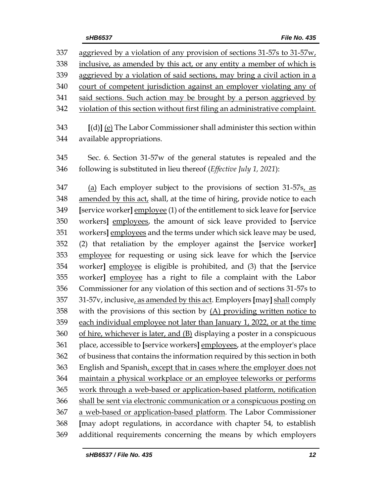aggrieved by a violation of any provision of sections 31-57s to 31-57w, inclusive, as amended by this act, or any entity a member of which is aggrieved by a violation of said sections, may bring a civil action in a court of competent jurisdiction against an employer violating any of said sections. Such action may be brought by a person aggrieved by violation of this section without first filing an administrative complaint. **[**(d)**]** (e) The Labor Commissioner shall administer this section within available appropriations. Sec. 6. Section 31-57w of the general statutes is repealed and the following is substituted in lieu thereof (*Effective July 1, 2021*): (a) Each employer subject to the provisions of section 31-57s, as amended by this act, shall, at the time of hiring, provide notice to each **[**service worker**]** employee (1) of the entitlement to sick leave for **[**service workers**]** employees, the amount of sick leave provided to **[**service workers**]** employees and the terms under which sick leave may be used, (2) that retaliation by the employer against the **[**service worker**]** employee for requesting or using sick leave for which the **[**service worker**]** employee is eligible is prohibited, and (3) that the **[**service worker**]** employee has a right to file a complaint with the Labor Commissioner for any violation of this section and of sections 31-57s to 31-57v, inclusive, as amended by this act. Employers **[**may**]** shall comply with the provisions of this section by (A) providing written notice to each individual employee not later than January 1, 2022, or at the time of hire, whichever is later, and (B) displaying a poster in a conspicuous place, accessible to **[**service workers**]** employees, at the employer's place of business that contains the information required by this section in both English and Spanish, except that in cases where the employer does not maintain a physical workplace or an employee teleworks or performs

 work through a web-based or application-based platform, notification shall be sent via electronic communication or a conspicuous posting on a web-based or application-based platform. The Labor Commissioner **[**may adopt regulations, in accordance with chapter 54, to establish additional requirements concerning the means by which employers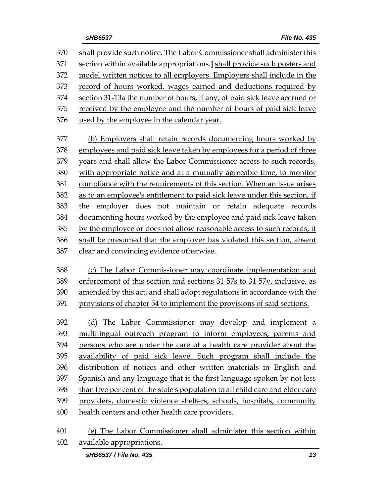shall provide such notice. The Labor Commissioner shall administer this section within available appropriations.**]** shall provide such posters and model written notices to all employers. Employers shall include in the record of hours worked, wages earned and deductions required by section 31-13a the number of hours, if any, of paid sick leave accrued or received by the employee and the number of hours of paid sick leave used by the employee in the calendar year. (b) Employers shall retain records documenting hours worked by employees and paid sick leave taken by employees for a period of three years and shall allow the Labor Commissioner access to such records, with appropriate notice and at a mutually agreeable time, to monitor compliance with the requirements of this section. When an issue arises as to an employee's entitlement to paid sick leave under this section, if the employer does not maintain or retain adequate records documenting hours worked by the employee and paid sick leave taken by the employee or does not allow reasonable access to such records, it shall be presumed that the employer has violated this section, absent clear and convincing evidence otherwise. (c) The Labor Commissioner may coordinate implementation and enforcement of this section and sections 31-57s to 31-57v, inclusive, as amended by this act, and shall adopt regulations in accordance with the provisions of chapter 54 to implement the provisions of said sections.

 (d) The Labor Commissioner may develop and implement a multilingual outreach program to inform employees, parents and persons who are under the care of a health care provider about the availability of paid sick leave. Such program shall include the distribution of notices and other written materials in English and Spanish and any language that is the first language spoken by not less than five per cent of the state's population to all child care and elder care providers, domestic violence shelters, schools, hospitals, community health centers and other health care providers.

 (e) The Labor Commissioner shall administer this section within available appropriations.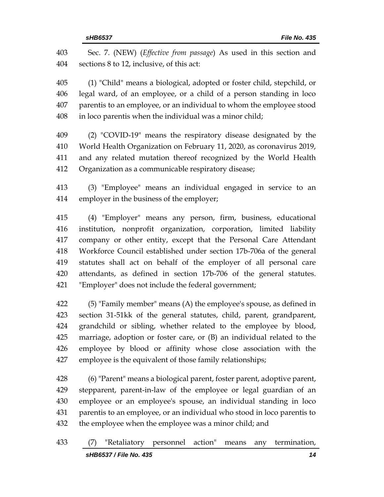Sec. 7. (NEW) (*Effective from passage*) As used in this section and sections 8 to 12, inclusive, of this act:

 (1) "Child" means a biological, adopted or foster child, stepchild, or legal ward, of an employee, or a child of a person standing in loco parentis to an employee, or an individual to whom the employee stood in loco parentis when the individual was a minor child;

 (2) "COVID-19" means the respiratory disease designated by the World Health Organization on February 11, 2020, as coronavirus 2019, and any related mutation thereof recognized by the World Health Organization as a communicable respiratory disease;

 (3) "Employee" means an individual engaged in service to an employer in the business of the employer;

 (4) "Employer" means any person, firm, business, educational institution, nonprofit organization, corporation, limited liability company or other entity, except that the Personal Care Attendant Workforce Council established under section 17b-706a of the general statutes shall act on behalf of the employer of all personal care attendants, as defined in section 17b-706 of the general statutes. "Employer" does not include the federal government;

 (5) "Family member" means (A) the employee's spouse, as defined in section 31-51kk of the general statutes, child, parent, grandparent, grandchild or sibling, whether related to the employee by blood, marriage, adoption or foster care, or (B) an individual related to the employee by blood or affinity whose close association with the employee is the equivalent of those family relationships;

 (6) "Parent" means a biological parent, foster parent, adoptive parent, stepparent, parent-in-law of the employee or legal guardian of an employee or an employee's spouse, an individual standing in loco parentis to an employee, or an individual who stood in loco parentis to the employee when the employee was a minor child; and

*sHB6537 / File No. 435 14* (7) "Retaliatory personnel action" means any termination,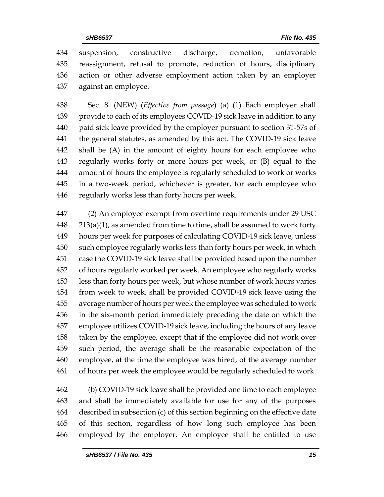suspension, constructive discharge, demotion, unfavorable reassignment, refusal to promote, reduction of hours, disciplinary action or other adverse employment action taken by an employer against an employee.

 Sec. 8. (NEW) (*Effective from passage*) (a) (1) Each employer shall provide to each of its employees COVID-19 sick leave in addition to any paid sick leave provided by the employer pursuant to section 31-57s of the general statutes, as amended by this act. The COVID-19 sick leave shall be (A) in the amount of eighty hours for each employee who regularly works forty or more hours per week, or (B) equal to the amount of hours the employee is regularly scheduled to work or works in a two-week period, whichever is greater, for each employee who regularly works less than forty hours per week.

 (2) An employee exempt from overtime requirements under 29 USC 213(a)(1), as amended from time to time, shall be assumed to work forty hours per week for purposes of calculating COVID-19 sick leave, unless such employee regularly works less than forty hours per week, in which case the COVID-19 sick leave shall be provided based upon the number of hours regularly worked per week. An employee who regularly works less than forty hours per week, but whose number of work hours varies from week to week, shall be provided COVID-19 sick leave using the average number of hours per week the employee was scheduled to work in the six-month period immediately preceding the date on which the employee utilizes COVID-19 sick leave, including the hours of any leave taken by the employee, except that if the employee did not work over such period, the average shall be the reasonable expectation of the employee, at the time the employee was hired, of the average number of hours per week the employee would be regularly scheduled to work.

 (b) COVID-19 sick leave shall be provided one time to each employee and shall be immediately available for use for any of the purposes described in subsection (c) of this section beginning on the effective date of this section, regardless of how long such employee has been employed by the employer. An employee shall be entitled to use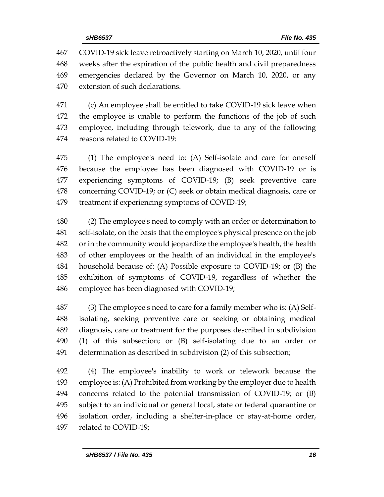COVID-19 sick leave retroactively starting on March 10, 2020, until four weeks after the expiration of the public health and civil preparedness emergencies declared by the Governor on March 10, 2020, or any extension of such declarations.

 (c) An employee shall be entitled to take COVID-19 sick leave when the employee is unable to perform the functions of the job of such employee, including through telework, due to any of the following reasons related to COVID-19:

 (1) The employee's need to: (A) Self-isolate and care for oneself because the employee has been diagnosed with COVID-19 or is experiencing symptoms of COVID-19; (B) seek preventive care concerning COVID-19; or (C) seek or obtain medical diagnosis, care or treatment if experiencing symptoms of COVID-19;

 (2) The employee's need to comply with an order or determination to self-isolate, on the basis that the employee's physical presence on the job or in the community would jeopardize the employee's health, the health of other employees or the health of an individual in the employee's household because of: (A) Possible exposure to COVID-19; or (B) the exhibition of symptoms of COVID-19, regardless of whether the employee has been diagnosed with COVID-19;

 (3) The employee's need to care for a family member who is: (A) Self- isolating, seeking preventive care or seeking or obtaining medical diagnosis, care or treatment for the purposes described in subdivision (1) of this subsection; or (B) self-isolating due to an order or determination as described in subdivision (2) of this subsection;

 (4) The employee's inability to work or telework because the employee is: (A) Prohibited from working by the employer due to health concerns related to the potential transmission of COVID-19; or (B) subject to an individual or general local, state or federal quarantine or isolation order, including a shelter-in-place or stay-at-home order, related to COVID-19;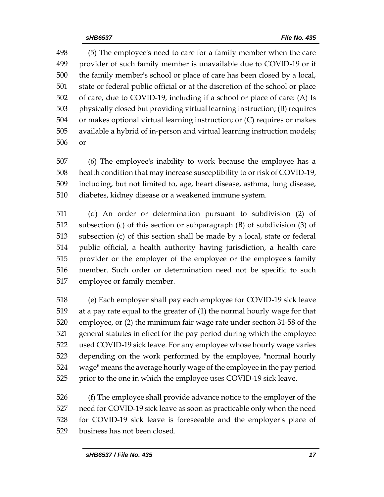(5) The employee's need to care for a family member when the care provider of such family member is unavailable due to COVID-19 or if the family member's school or place of care has been closed by a local, state or federal public official or at the discretion of the school or place of care, due to COVID-19, including if a school or place of care: (A) Is physically closed but providing virtual learning instruction; (B) requires or makes optional virtual learning instruction; or (C) requires or makes available a hybrid of in-person and virtual learning instruction models; or

 (6) The employee's inability to work because the employee has a health condition that may increase susceptibility to or risk of COVID-19, including, but not limited to, age, heart disease, asthma, lung disease, diabetes, kidney disease or a weakened immune system.

 (d) An order or determination pursuant to subdivision (2) of subsection (c) of this section or subparagraph (B) of subdivision (3) of subsection (c) of this section shall be made by a local, state or federal public official, a health authority having jurisdiction, a health care provider or the employer of the employee or the employee's family member. Such order or determination need not be specific to such employee or family member.

 (e) Each employer shall pay each employee for COVID-19 sick leave at a pay rate equal to the greater of (1) the normal hourly wage for that employee, or (2) the minimum fair wage rate under section 31-58 of the general statutes in effect for the pay period during which the employee used COVID-19 sick leave. For any employee whose hourly wage varies depending on the work performed by the employee, "normal hourly wage" means the average hourly wage of the employee in the pay period prior to the one in which the employee uses COVID-19 sick leave.

 (f) The employee shall provide advance notice to the employer of the need for COVID-19 sick leave as soon as practicable only when the need for COVID-19 sick leave is foreseeable and the employer's place of business has not been closed.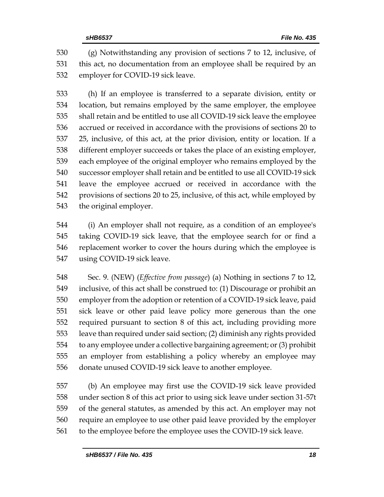(g) Notwithstanding any provision of sections 7 to 12, inclusive, of this act, no documentation from an employee shall be required by an employer for COVID-19 sick leave.

 (h) If an employee is transferred to a separate division, entity or location, but remains employed by the same employer, the employee shall retain and be entitled to use all COVID-19 sick leave the employee accrued or received in accordance with the provisions of sections 20 to 25, inclusive, of this act, at the prior division, entity or location. If a different employer succeeds or takes the place of an existing employer, each employee of the original employer who remains employed by the successor employer shall retain and be entitled to use all COVID-19 sick leave the employee accrued or received in accordance with the provisions of sections 20 to 25, inclusive, of this act, while employed by the original employer.

 (i) An employer shall not require, as a condition of an employee's taking COVID-19 sick leave, that the employee search for or find a replacement worker to cover the hours during which the employee is using COVID-19 sick leave.

 Sec. 9. (NEW) (*Effective from passage*) (a) Nothing in sections 7 to 12, inclusive, of this act shall be construed to: (1) Discourage or prohibit an employer from the adoption or retention of a COVID-19 sick leave, paid sick leave or other paid leave policy more generous than the one required pursuant to section 8 of this act, including providing more leave than required under said section; (2) diminish any rights provided to any employee under a collective bargaining agreement; or (3) prohibit an employer from establishing a policy whereby an employee may donate unused COVID-19 sick leave to another employee.

 (b) An employee may first use the COVID-19 sick leave provided under section 8 of this act prior to using sick leave under section 31-57t of the general statutes, as amended by this act. An employer may not require an employee to use other paid leave provided by the employer to the employee before the employee uses the COVID-19 sick leave.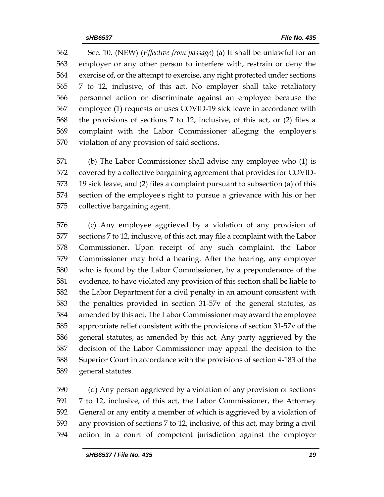Sec. 10. (NEW) (*Effective from passage*) (a) It shall be unlawful for an employer or any other person to interfere with, restrain or deny the exercise of, or the attempt to exercise, any right protected under sections 7 to 12, inclusive, of this act. No employer shall take retaliatory personnel action or discriminate against an employee because the employee (1) requests or uses COVID-19 sick leave in accordance with the provisions of sections 7 to 12, inclusive, of this act, or (2) files a complaint with the Labor Commissioner alleging the employer's violation of any provision of said sections.

 (b) The Labor Commissioner shall advise any employee who (1) is covered by a collective bargaining agreement that provides for COVID- 19 sick leave, and (2) files a complaint pursuant to subsection (a) of this section of the employee's right to pursue a grievance with his or her collective bargaining agent.

 (c) Any employee aggrieved by a violation of any provision of sections 7 to 12, inclusive, of this act, may file a complaint with the Labor Commissioner. Upon receipt of any such complaint, the Labor Commissioner may hold a hearing. After the hearing, any employer who is found by the Labor Commissioner, by a preponderance of the evidence, to have violated any provision of this section shall be liable to the Labor Department for a civil penalty in an amount consistent with the penalties provided in section 31-57v of the general statutes, as amended by this act. The Labor Commissioner may award the employee appropriate relief consistent with the provisions of section 31-57v of the general statutes, as amended by this act. Any party aggrieved by the decision of the Labor Commissioner may appeal the decision to the Superior Court in accordance with the provisions of section 4-183 of the general statutes.

 (d) Any person aggrieved by a violation of any provision of sections 7 to 12, inclusive, of this act, the Labor Commissioner, the Attorney General or any entity a member of which is aggrieved by a violation of any provision of sections 7 to 12, inclusive, of this act, may bring a civil action in a court of competent jurisdiction against the employer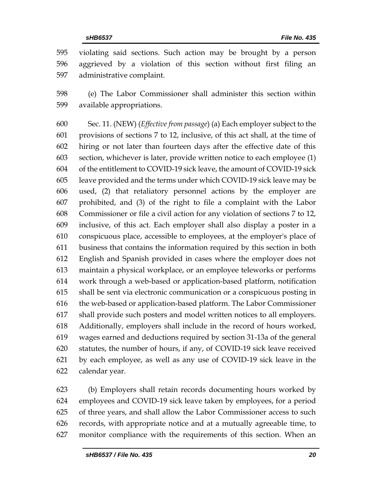violating said sections. Such action may be brought by a person aggrieved by a violation of this section without first filing an administrative complaint.

 (e) The Labor Commissioner shall administer this section within available appropriations.

 Sec. 11. (NEW) (*Effective from passage*) (a) Each employer subject to the provisions of sections 7 to 12, inclusive, of this act shall, at the time of hiring or not later than fourteen days after the effective date of this section, whichever is later, provide written notice to each employee (1) of the entitlement to COVID-19 sick leave, the amount of COVID-19 sick leave provided and the terms under which COVID-19 sick leave may be used, (2) that retaliatory personnel actions by the employer are prohibited, and (3) of the right to file a complaint with the Labor Commissioner or file a civil action for any violation of sections 7 to 12, inclusive, of this act. Each employer shall also display a poster in a conspicuous place, accessible to employees, at the employer's place of business that contains the information required by this section in both English and Spanish provided in cases where the employer does not maintain a physical workplace, or an employee teleworks or performs work through a web-based or application-based platform, notification shall be sent via electronic communication or a conspicuous posting in the web-based or application-based platform. The Labor Commissioner shall provide such posters and model written notices to all employers. Additionally, employers shall include in the record of hours worked, wages earned and deductions required by section 31-13a of the general statutes, the number of hours, if any, of COVID-19 sick leave received by each employee, as well as any use of COVID-19 sick leave in the calendar year.

 (b) Employers shall retain records documenting hours worked by employees and COVID-19 sick leave taken by employees, for a period of three years, and shall allow the Labor Commissioner access to such records, with appropriate notice and at a mutually agreeable time, to monitor compliance with the requirements of this section. When an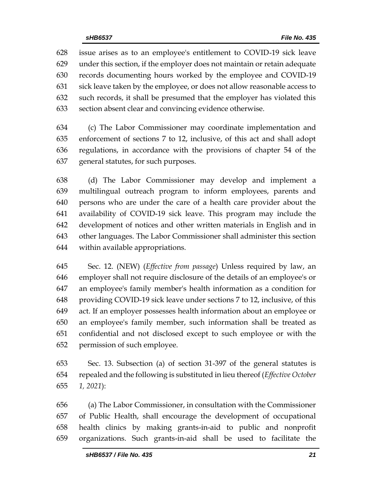issue arises as to an employee's entitlement to COVID-19 sick leave under this section, if the employer does not maintain or retain adequate records documenting hours worked by the employee and COVID-19 sick leave taken by the employee, or does not allow reasonable access to such records, it shall be presumed that the employer has violated this section absent clear and convincing evidence otherwise.

 (c) The Labor Commissioner may coordinate implementation and enforcement of sections 7 to 12, inclusive, of this act and shall adopt regulations, in accordance with the provisions of chapter 54 of the general statutes, for such purposes.

 (d) The Labor Commissioner may develop and implement a multilingual outreach program to inform employees, parents and persons who are under the care of a health care provider about the availability of COVID-19 sick leave. This program may include the development of notices and other written materials in English and in other languages. The Labor Commissioner shall administer this section within available appropriations.

 Sec. 12. (NEW) (*Effective from passage*) Unless required by law, an employer shall not require disclosure of the details of an employee's or an employee's family member's health information as a condition for providing COVID-19 sick leave under sections 7 to 12, inclusive, of this act. If an employer possesses health information about an employee or an employee's family member, such information shall be treated as confidential and not disclosed except to such employee or with the permission of such employee.

 Sec. 13. Subsection (a) of section 31-397 of the general statutes is repealed and the following is substituted in lieu thereof (*Effective October 1, 2021*):

 (a) The Labor Commissioner, in consultation with the Commissioner of Public Health, shall encourage the development of occupational health clinics by making grants-in-aid to public and nonprofit organizations. Such grants-in-aid shall be used to facilitate the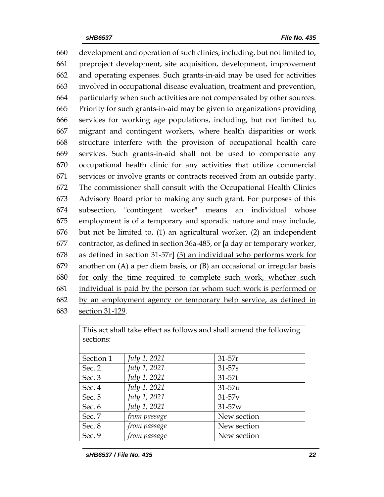development and operation of such clinics, including, but not limited to, preproject development, site acquisition, development, improvement and operating expenses. Such grants-in-aid may be used for activities involved in occupational disease evaluation, treatment and prevention, particularly when such activities are not compensated by other sources. Priority for such grants-in-aid may be given to organizations providing services for working age populations, including, but not limited to, migrant and contingent workers, where health disparities or work structure interfere with the provision of occupational health care services. Such grants-in-aid shall not be used to compensate any occupational health clinic for any activities that utilize commercial services or involve grants or contracts received from an outside party. The commissioner shall consult with the Occupational Health Clinics Advisory Board prior to making any such grant. For purposes of this subsection, "contingent worker" means an individual whose employment is of a temporary and sporadic nature and may include, but not be limited to, (1) an agricultural worker, (2) an independent contractor, as defined in section 36a-485, or **[**a day or temporary worker, as defined in section 31-57r**]** (3) an individual who performs work for 679 another on  $(A)$  a per diem basis, or  $(B)$  an occasional or irregular basis for only the time required to complete such work, whether such individual is paid by the person for whom such work is performed or by an employment agency or temporary help service, as defined in section 31-129.

This act shall take effect as follows and shall amend the following sections: Section 1 *July 1, 2021* 31-57r Sec. 2 *July 1, 2021* 31-57s Sec. 3 *July 1, 2021* 31-57t Sec. 4 *July 1, 2021* 31-57u Sec. 5 *July 1, 2021* 31-57v Sec. 6 *July 1, 2021* 31-57w Sec. 7 *from passage* New section Sec. 8 *from passage* New section Sec. 9 *from passage* New section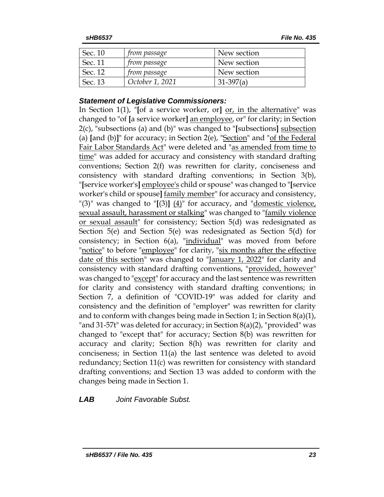| Sec. 10 | <i>from passage</i> | New section |
|---------|---------------------|-------------|
| Sec. 11 | <i>from passage</i> | New section |
| Sec. 12 | <i>from passage</i> | New section |
| Sec. 13 | October 1, 2021     | $31-397(a)$ |

### *Statement of Legislative Commissioners:*

In Section 1(1), "**[**of a service worker, or**]** or, in the alternative" was changed to "of **[**a service worker**]** an employee, or" for clarity; in Section 2(c), "subsections (a) and (b)" was changed to "**[**subsections**]** subsection (a) **[**and (b)**]**" for accuracy; in Section 2(e), "Section" and "of the Federal Fair Labor Standards Act" were deleted and "as amended from time to time" was added for accuracy and consistency with standard drafting conventions; Section 2(f) was rewritten for clarity, conciseness and consistency with standard drafting conventions; in Section 3(b), "**[**service worker's**]** employee's child or spouse" was changed to "**[**service worker's child or spouse**]** family member" for accuracy and consistency, "(3)" was changed to "[(3)]  $(4)$ " for accuracy, and "domestic violence, sexual assault, harassment or stalking" was changed to "family violence or sexual assault" for consistency; Section 5(d) was redesignated as Section 5(e) and Section 5(e) was redesignated as Section 5(d) for consistency; in Section 6(a), "individual" was moved from before "notice" to before "*employee*" for clarity, "six months after the effective date of this section" was changed to "January 1, 2022" for clarity and consistency with standard drafting conventions, "provided, however" was changed to "except" for accuracy and the last sentence was rewritten for clarity and consistency with standard drafting conventions; in Section 7, a definition of "COVID-19" was added for clarity and consistency and the definition of "employer" was rewritten for clarity and to conform with changes being made in Section 1; in Section  $8(a)(1)$ , "and 31-57t" was deleted for accuracy; in Section 8(a)(2), "provided" was changed to "except that" for accuracy; Section 8(b) was rewritten for accuracy and clarity; Section 8(h) was rewritten for clarity and conciseness; in Section 11(a) the last sentence was deleted to avoid redundancy; Section 11(c) was rewritten for consistency with standard drafting conventions; and Section 13 was added to conform with the changes being made in Section 1.

*LAB Joint Favorable Subst.*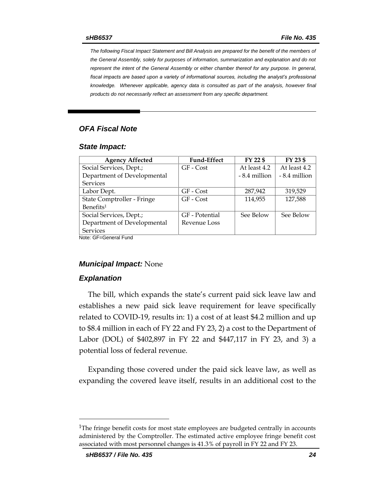*The following Fiscal Impact Statement and Bill Analysis are prepared for the benefit of the members of the General Assembly, solely for purposes of information, summarization and explanation and do not represent the intent of the General Assembly or either chamber thereof for any purpose. In general,*  fiscal impacts are based upon a variety of informational sources, including the analyst's professional *knowledge. Whenever applicable, agency data is consulted as part of the analysis, however final products do not necessarily reflect an assessment from any specific department.*

### *OFA Fiscal Note*

#### *State Impact:*

| <b>Agency Affected</b>      | <b>Fund-Effect</b> | FY 22 \$      | FY 23 \$      |  |  |
|-----------------------------|--------------------|---------------|---------------|--|--|
| Social Services, Dept.;     | GF - Cost          | At least 4.2  | At least 4.2  |  |  |
| Department of Developmental |                    | - 8.4 million | - 8.4 million |  |  |
| <b>Services</b>             |                    |               |               |  |  |
| Labor Dept.                 | GF - Cost          | 287,942       | 319,529       |  |  |
| State Comptroller - Fringe  | $GF - Cost$        | 114,955       | 127,588       |  |  |
| Benefits <sup>1</sup>       |                    |               |               |  |  |
| Social Services, Dept.;     | GF - Potential     | See Below     | See Below     |  |  |
| Department of Developmental | Revenue Loss       |               |               |  |  |
| <b>Services</b>             |                    |               |               |  |  |
| Noto: CE_Conorol Eund       |                    |               |               |  |  |

Note: GF=General Fund

#### *Municipal Impact:* None

#### *Explanation*

The bill, which expands the state's current paid sick leave law and establishes a new paid sick leave requirement for leave specifically related to COVID-19, results in: 1) a cost of at least \$4.2 million and up to \$8.4 million in each of FY 22 and FY 23, 2) a cost to the Department of Labor (DOL) of \$402,897 in FY 22 and \$447,117 in FY 23, and 3) a potential loss of federal revenue.

Expanding those covered under the paid sick leave law, as well as expanding the covered leave itself, results in an additional cost to the

 $\overline{a}$ 

 $1$ The fringe benefit costs for most state employees are budgeted centrally in accounts administered by the Comptroller. The estimated active employee fringe benefit cost associated with most personnel changes is 41.3% of payroll in FY 22 and FY 23.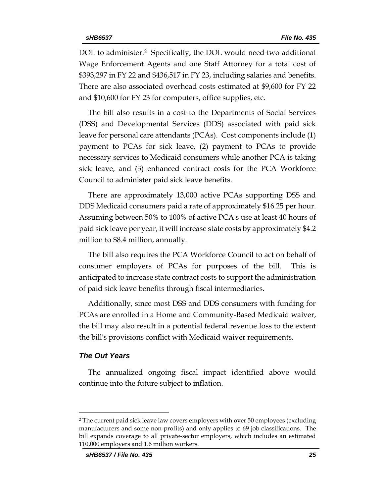DOL to administer.<sup>2</sup> Specifically, the DOL would need two additional Wage Enforcement Agents and one Staff Attorney for a total cost of \$393,297 in FY 22 and \$436,517 in FY 23, including salaries and benefits. There are also associated overhead costs estimated at \$9,600 for FY 22 and \$10,600 for FY 23 for computers, office supplies, etc.

The bill also results in a cost to the Departments of Social Services (DSS) and Developmental Services (DDS) associated with paid sick leave for personal care attendants (PCAs). Cost components include (1) payment to PCAs for sick leave, (2) payment to PCAs to provide necessary services to Medicaid consumers while another PCA is taking sick leave, and (3) enhanced contract costs for the PCA Workforce Council to administer paid sick leave benefits.

There are approximately 13,000 active PCAs supporting DSS and DDS Medicaid consumers paid a rate of approximately \$16.25 per hour. Assuming between 50% to 100% of active PCA's use at least 40 hours of paid sick leave per year, it will increase state costs by approximately \$4.2 million to \$8.4 million, annually.

The bill also requires the PCA Workforce Council to act on behalf of consumer employers of PCAs for purposes of the bill. This is anticipated to increase state contract costs to support the administration of paid sick leave benefits through fiscal intermediaries.

Additionally, since most DSS and DDS consumers with funding for PCAs are enrolled in a Home and Community-Based Medicaid waiver, the bill may also result in a potential federal revenue loss to the extent the bill's provisions conflict with Medicaid waiver requirements.

#### *The Out Years*

 $\overline{a}$ 

The annualized ongoing fiscal impact identified above would continue into the future subject to inflation.

<sup>2</sup> The current paid sick leave law covers employers with over 50 employees (excluding manufacturers and some non-profits) and only applies to 69 job classifications. The bill expands coverage to all private-sector employers, which includes an estimated 110,000 employers and 1.6 million workers.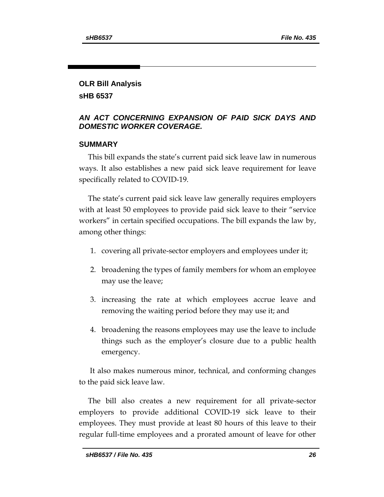# **OLR Bill Analysis**

**sHB 6537**

## *AN ACT CONCERNING EXPANSION OF PAID SICK DAYS AND DOMESTIC WORKER COVERAGE.*

## **SUMMARY**

This bill expands the state's current paid sick leave law in numerous ways. It also establishes a new paid sick leave requirement for leave specifically related to COVID-19.

The state's current paid sick leave law generally requires employers with at least 50 employees to provide paid sick leave to their "service workers" in certain specified occupations. The bill expands the law by, among other things:

- 1. covering all private-sector employers and employees under it;
- 2. broadening the types of family members for whom an employee may use the leave;
- 3. increasing the rate at which employees accrue leave and removing the waiting period before they may use it; and
- 4. broadening the reasons employees may use the leave to include things such as the employer's closure due to a public health emergency.

It also makes numerous minor, technical, and conforming changes to the paid sick leave law.

The bill also creates a new requirement for all private-sector employers to provide additional COVID-19 sick leave to their employees. They must provide at least 80 hours of this leave to their regular full-time employees and a prorated amount of leave for other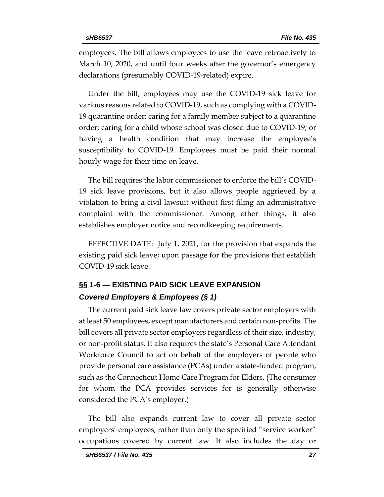employees. The bill allows employees to use the leave retroactively to March 10, 2020, and until four weeks after the governor's emergency declarations (presumably COVID-19-related) expire.

Under the bill, employees may use the COVID-19 sick leave for various reasons related to COVID-19, such as complying with a COVID-19 quarantine order; caring for a family member subject to a quarantine order; caring for a child whose school was closed due to COVID-19; or having a health condition that may increase the employee's susceptibility to COVID-19. Employees must be paid their normal hourly wage for their time on leave.

The bill requires the labor commissioner to enforce the bill's COVID-19 sick leave provisions, but it also allows people aggrieved by a violation to bring a civil lawsuit without first filing an administrative complaint with the commissioner. Among other things, it also establishes employer notice and recordkeeping requirements.

EFFECTIVE DATE: July 1, 2021, for the provision that expands the existing paid sick leave; upon passage for the provisions that establish COVID-19 sick leave.

## **§§ 1-6 — EXISTING PAID SICK LEAVE EXPANSION** *Covered Employers & Employees (§ 1)*

The current paid sick leave law covers private sector employers with at least 50 employees, except manufacturers and certain non-profits. The bill covers all private sector employers regardless of their size, industry, or non-profit status. It also requires the state's Personal Care Attendant Workforce Council to act on behalf of the employers of people who provide personal care assistance (PCAs) under a state-funded program, such as the Connecticut Home Care Program for Elders. (The consumer for whom the PCA provides services for is generally otherwise considered the PCA's employer.)

The bill also expands current law to cover all private sector employers' employees, rather than only the specified "service worker" occupations covered by current law. It also includes the day or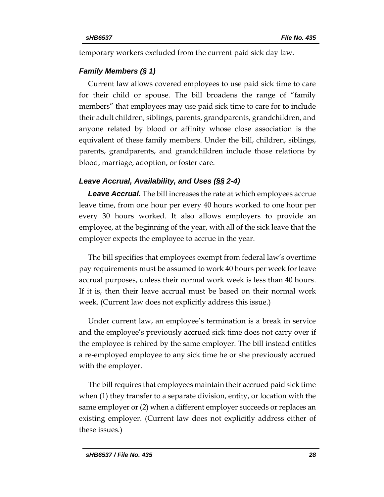temporary workers excluded from the current paid sick day law.

#### *Family Members (§ 1)*

Current law allows covered employees to use paid sick time to care for their child or spouse. The bill broadens the range of "family members" that employees may use paid sick time to care for to include their adult children, siblings, parents, grandparents, grandchildren, and anyone related by blood or affinity whose close association is the equivalent of these family members. Under the bill, children, siblings, parents, grandparents, and grandchildren include those relations by blood, marriage, adoption, or foster care.

## *Leave Accrual, Availability, and Uses (§§ 2-4)*

*Leave Accrual.* The bill increases the rate at which employees accrue leave time, from one hour per every 40 hours worked to one hour per every 30 hours worked. It also allows employers to provide an employee, at the beginning of the year, with all of the sick leave that the employer expects the employee to accrue in the year.

The bill specifies that employees exempt from federal law's overtime pay requirements must be assumed to work 40 hours per week for leave accrual purposes, unless their normal work week is less than 40 hours. If it is, then their leave accrual must be based on their normal work week. (Current law does not explicitly address this issue.)

Under current law, an employee's termination is a break in service and the employee's previously accrued sick time does not carry over if the employee is rehired by the same employer. The bill instead entitles a re-employed employee to any sick time he or she previously accrued with the employer.

The bill requires that employees maintain their accrued paid sick time when (1) they transfer to a separate division, entity, or location with the same employer or (2) when a different employer succeeds or replaces an existing employer. (Current law does not explicitly address either of these issues.)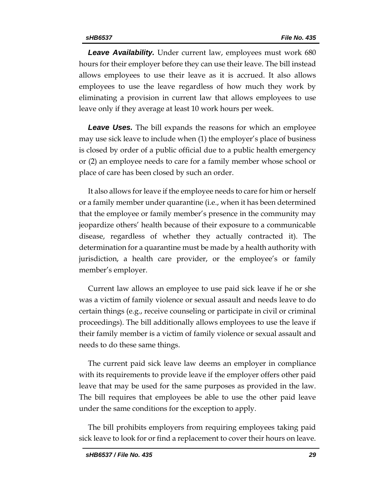**Leave Availability.** Under current law, employees must work 680 hours for their employer before they can use their leave. The bill instead allows employees to use their leave as it is accrued. It also allows employees to use the leave regardless of how much they work by eliminating a provision in current law that allows employees to use leave only if they average at least 10 work hours per week.

*Leave Uses.* The bill expands the reasons for which an employee may use sick leave to include when (1) the employer's place of business is closed by order of a public official due to a public health emergency or (2) an employee needs to care for a family member whose school or place of care has been closed by such an order.

It also allows for leave if the employee needs to care for him or herself or a family member under quarantine (i.e., when it has been determined that the employee or family member's presence in the community may jeopardize others' health because of their exposure to a communicable disease, regardless of whether they actually contracted it). The determination for a quarantine must be made by a health authority with jurisdiction, a health care provider, or the employee's or family member's employer.

Current law allows an employee to use paid sick leave if he or she was a victim of family violence or sexual assault and needs leave to do certain things (e.g., receive counseling or participate in civil or criminal proceedings). The bill additionally allows employees to use the leave if their family member is a victim of family violence or sexual assault and needs to do these same things.

The current paid sick leave law deems an employer in compliance with its requirements to provide leave if the employer offers other paid leave that may be used for the same purposes as provided in the law. The bill requires that employees be able to use the other paid leave under the same conditions for the exception to apply.

The bill prohibits employers from requiring employees taking paid sick leave to look for or find a replacement to cover their hours on leave.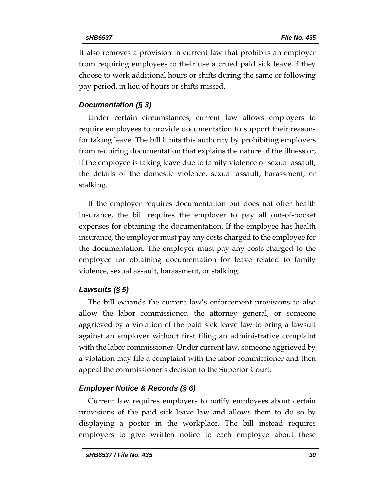It also removes a provision in current law that prohibits an employer from requiring employees to their use accrued paid sick leave if they choose to work additional hours or shifts during the same or following pay period, in lieu of hours or shifts missed.

### *Documentation (§ 3)*

Under certain circumstances, current law allows employers to require employees to provide documentation to support their reasons for taking leave. The bill limits this authority by prohibiting employers from requiring documentation that explains the nature of the illness or, if the employee is taking leave due to family violence or sexual assault, the details of the domestic violence, sexual assault, harassment, or stalking.

If the employer requires documentation but does not offer health insurance, the bill requires the employer to pay all out-of-pocket expenses for obtaining the documentation. If the employee has health insurance, the employer must pay any costs charged to the employee for the documentation. The employer must pay any costs charged to the employee for obtaining documentation for leave related to family violence, sexual assault, harassment, or stalking.

## *Lawsuits (§ 5)*

The bill expands the current law's enforcement provisions to also allow the labor commissioner, the attorney general, or someone aggrieved by a violation of the paid sick leave law to bring a lawsuit against an employer without first filing an administrative complaint with the labor commissioner. Under current law, someone aggrieved by a violation may file a complaint with the labor commissioner and then appeal the commissioner's decision to the Superior Court.

### *Employer Notice & Records (§ 6)*

Current law requires employers to notify employees about certain provisions of the paid sick leave law and allows them to do so by displaying a poster in the workplace. The bill instead requires employers to give written notice to each employee about these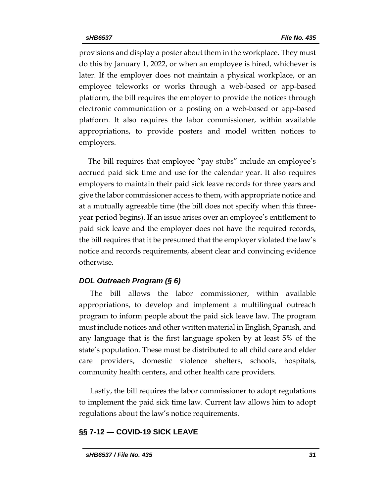provisions and display a poster about them in the workplace. They must do this by January 1, 2022, or when an employee is hired, whichever is later. If the employer does not maintain a physical workplace, or an employee teleworks or works through a web-based or app-based platform, the bill requires the employer to provide the notices through electronic communication or a posting on a web-based or app-based platform. It also requires the labor commissioner, within available appropriations, to provide posters and model written notices to employers.

The bill requires that employee "pay stubs" include an employee's accrued paid sick time and use for the calendar year. It also requires employers to maintain their paid sick leave records for three years and give the labor commissioner access to them, with appropriate notice and at a mutually agreeable time (the bill does not specify when this threeyear period begins). If an issue arises over an employee's entitlement to paid sick leave and the employer does not have the required records, the bill requires that it be presumed that the employer violated the law's notice and records requirements, absent clear and convincing evidence otherwise.

### *DOL Outreach Program (§ 6)*

The bill allows the labor commissioner, within available appropriations, to develop and implement a multilingual outreach program to inform people about the paid sick leave law. The program must include notices and other written material in English, Spanish, and any language that is the first language spoken by at least 5% of the state's population. These must be distributed to all child care and elder care providers, domestic violence shelters, schools, hospitals, community health centers, and other health care providers.

Lastly, the bill requires the labor commissioner to adopt regulations to implement the paid sick time law. Current law allows him to adopt regulations about the law's notice requirements.

### **§§ 7-12 — COVID-19 SICK LEAVE**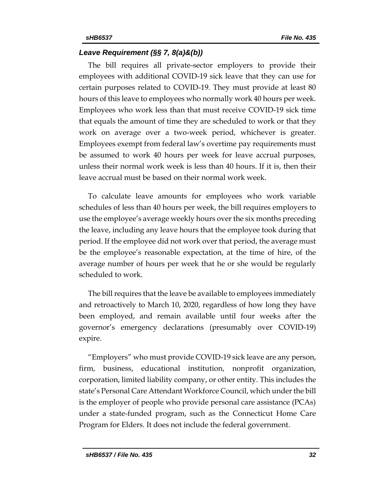### *Leave Requirement (§§ 7, 8(a)&(b))*

The bill requires all private-sector employers to provide their employees with additional COVID-19 sick leave that they can use for certain purposes related to COVID-19. They must provide at least 80 hours of this leave to employees who normally work 40 hours per week. Employees who work less than that must receive COVID-19 sick time that equals the amount of time they are scheduled to work or that they work on average over a two-week period, whichever is greater. Employees exempt from federal law's overtime pay requirements must be assumed to work 40 hours per week for leave accrual purposes, unless their normal work week is less than 40 hours. If it is, then their leave accrual must be based on their normal work week.

To calculate leave amounts for employees who work variable schedules of less than 40 hours per week, the bill requires employers to use the employee's average weekly hours over the six months preceding the leave, including any leave hours that the employee took during that period. If the employee did not work over that period, the average must be the employee's reasonable expectation, at the time of hire, of the average number of hours per week that he or she would be regularly scheduled to work.

The bill requires that the leave be available to employees immediately and retroactively to March 10, 2020, regardless of how long they have been employed, and remain available until four weeks after the governor's emergency declarations (presumably over COVID-19) expire.

"Employers" who must provide COVID-19 sick leave are any person, firm, business, educational institution, nonprofit organization, corporation, limited liability company, or other entity. This includes the state's Personal Care Attendant Workforce Council, which under the bill is the employer of people who provide personal care assistance (PCAs) under a state-funded program, such as the Connecticut Home Care Program for Elders. It does not include the federal government.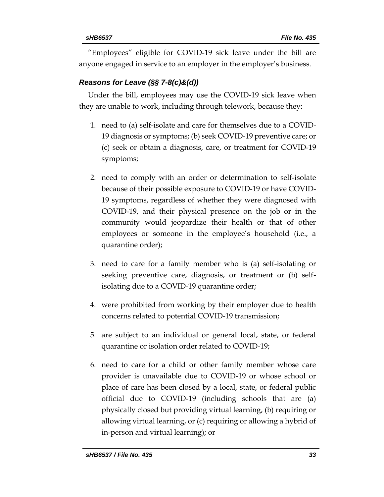"Employees" eligible for COVID-19 sick leave under the bill are anyone engaged in service to an employer in the employer's business.

## *Reasons for Leave (§§ 7-8(c)&(d))*

Under the bill, employees may use the COVID-19 sick leave when they are unable to work, including through telework, because they:

- 1. need to (a) self-isolate and care for themselves due to a COVID-19 diagnosis or symptoms; (b) seek COVID-19 preventive care; or (c) seek or obtain a diagnosis, care, or treatment for COVID-19 symptoms;
- 2. need to comply with an order or determination to self-isolate because of their possible exposure to COVID-19 or have COVID-19 symptoms, regardless of whether they were diagnosed with COVID-19, and their physical presence on the job or in the community would jeopardize their health or that of other employees or someone in the employee's household (i.e., a quarantine order);
- 3. need to care for a family member who is (a) self-isolating or seeking preventive care, diagnosis, or treatment or (b) selfisolating due to a COVID-19 quarantine order;
- 4. were prohibited from working by their employer due to health concerns related to potential COVID-19 transmission;
- 5. are subject to an individual or general local, state, or federal quarantine or isolation order related to COVID-19;
- 6. need to care for a child or other family member whose care provider is unavailable due to COVID-19 or whose school or place of care has been closed by a local, state, or federal public official due to COVID-19 (including schools that are (a) physically closed but providing virtual learning, (b) requiring or allowing virtual learning, or (c) requiring or allowing a hybrid of in-person and virtual learning); or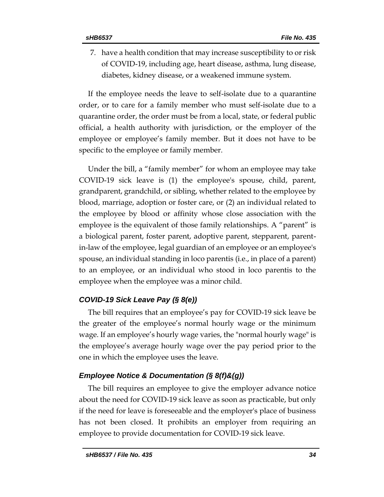7. have a health condition that may increase susceptibility to or risk of COVID-19, including age, heart disease, asthma, lung disease, diabetes, kidney disease, or a weakened immune system.

If the employee needs the leave to self-isolate due to a quarantine order, or to care for a family member who must self-isolate due to a quarantine order, the order must be from a local, state, or federal public official, a health authority with jurisdiction, or the employer of the employee or employee's family member. But it does not have to be specific to the employee or family member.

Under the bill, a "family member" for whom an employee may take COVID-19 sick leave is (1) the employee's spouse, child, parent, grandparent, grandchild, or sibling, whether related to the employee by blood, marriage, adoption or foster care, or (2) an individual related to the employee by blood or affinity whose close association with the employee is the equivalent of those family relationships. A "parent" is a biological parent, foster parent, adoptive parent, stepparent, parentin-law of the employee, legal guardian of an employee or an employee's spouse, an individual standing in loco parentis (i.e., in place of a parent) to an employee, or an individual who stood in loco parentis to the employee when the employee was a minor child.

### *COVID-19 Sick Leave Pay (§ 8(e))*

The bill requires that an employee's pay for COVID-19 sick leave be the greater of the employee's normal hourly wage or the minimum wage. If an employee's hourly wage varies, the "normal hourly wage" is the employee's average hourly wage over the pay period prior to the one in which the employee uses the leave.

### *Employee Notice & Documentation (§ 8(f)&(g))*

The bill requires an employee to give the employer advance notice about the need for COVID-19 sick leave as soon as practicable, but only if the need for leave is foreseeable and the employer's place of business has not been closed. It prohibits an employer from requiring an employee to provide documentation for COVID-19 sick leave.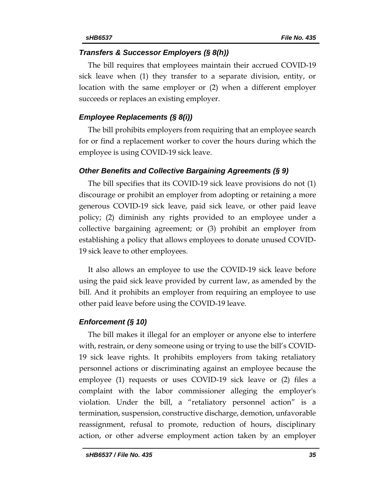#### *Transfers & Successor Employers (§ 8(h))*

The bill requires that employees maintain their accrued COVID-19 sick leave when (1) they transfer to a separate division, entity, or location with the same employer or (2) when a different employer succeeds or replaces an existing employer.

#### *Employee Replacements (§ 8(i))*

The bill prohibits employers from requiring that an employee search for or find a replacement worker to cover the hours during which the employee is using COVID-19 sick leave.

#### *Other Benefits and Collective Bargaining Agreements (§ 9)*

The bill specifies that its COVID-19 sick leave provisions do not (1) discourage or prohibit an employer from adopting or retaining a more generous COVID-19 sick leave, paid sick leave, or other paid leave policy; (2) diminish any rights provided to an employee under a collective bargaining agreement; or (3) prohibit an employer from establishing a policy that allows employees to donate unused COVID-19 sick leave to other employees.

It also allows an employee to use the COVID-19 sick leave before using the paid sick leave provided by current law, as amended by the bill. And it prohibits an employer from requiring an employee to use other paid leave before using the COVID-19 leave.

#### *Enforcement (§ 10)*

The bill makes it illegal for an employer or anyone else to interfere with, restrain, or deny someone using or trying to use the bill's COVID-19 sick leave rights. It prohibits employers from taking retaliatory personnel actions or discriminating against an employee because the employee (1) requests or uses COVID-19 sick leave or (2) files a complaint with the labor commissioner alleging the employer's violation. Under the bill, a "retaliatory personnel action" is a termination, suspension, constructive discharge, demotion, unfavorable reassignment, refusal to promote, reduction of hours, disciplinary action, or other adverse employment action taken by an employer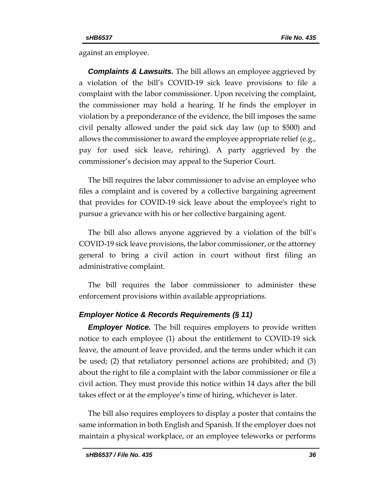against an employee.

*Complaints & Lawsuits.* The bill allows an employee aggrieved by a violation of the bill's COVID-19 sick leave provisions to file a complaint with the labor commissioner. Upon receiving the complaint, the commissioner may hold a hearing. If he finds the employer in violation by a preponderance of the evidence, the bill imposes the same civil penalty allowed under the paid sick day law (up to \$500) and allows the commissioner to award the employee appropriate relief (e.g., pay for used sick leave, rehiring). A party aggrieved by the commissioner's decision may appeal to the Superior Court.

The bill requires the labor commissioner to advise an employee who files a complaint and is covered by a collective bargaining agreement that provides for COVID-19 sick leave about the employee's right to pursue a grievance with his or her collective bargaining agent.

The bill also allows anyone aggrieved by a violation of the bill's COVID-19 sick leave provisions, the labor commissioner, or the attorney general to bring a civil action in court without first filing an administrative complaint.

The bill requires the labor commissioner to administer these enforcement provisions within available appropriations.

### *Employer Notice & Records Requirements (§ 11)*

*Employer Notice.* The bill requires employers to provide written notice to each employee (1) about the entitlement to COVID-19 sick leave, the amount of leave provided, and the terms under which it can be used; (2) that retaliatory personnel actions are prohibited; and (3) about the right to file a complaint with the labor commissioner or file a civil action. They must provide this notice within 14 days after the bill takes effect or at the employee's time of hiring, whichever is later.

The bill also requires employers to display a poster that contains the same information in both English and Spanish. If the employer does not maintain a physical workplace, or an employee teleworks or performs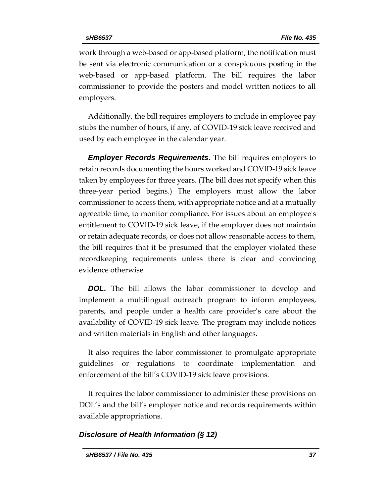work through a web-based or app-based platform, the notification must be sent via electronic communication or a conspicuous posting in the web-based or app-based platform. The bill requires the labor commissioner to provide the posters and model written notices to all employers.

Additionally, the bill requires employers to include in employee pay stubs the number of hours, if any, of COVID-19 sick leave received and used by each employee in the calendar year.

*Employer Records Requirements***.** The bill requires employers to retain records documenting the hours worked and COVID-19 sick leave taken by employees for three years. (The bill does not specify when this three-year period begins.) The employers must allow the labor commissioner to access them, with appropriate notice and at a mutually agreeable time, to monitor compliance. For issues about an employee's entitlement to COVID-19 sick leave, if the employer does not maintain or retain adequate records, or does not allow reasonable access to them, the bill requires that it be presumed that the employer violated these recordkeeping requirements unless there is clear and convincing evidence otherwise.

*DOL***.** The bill allows the labor commissioner to develop and implement a multilingual outreach program to inform employees, parents, and people under a health care provider's care about the availability of COVID-19 sick leave. The program may include notices and written materials in English and other languages.

It also requires the labor commissioner to promulgate appropriate guidelines or regulations to coordinate implementation and enforcement of the bill's COVID-19 sick leave provisions.

It requires the labor commissioner to administer these provisions on DOL's and the bill's employer notice and records requirements within available appropriations.

### *Disclosure of Health Information (§ 12)*